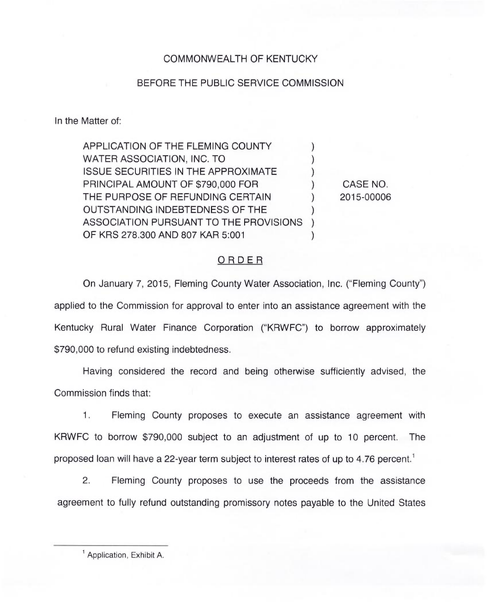## COMMONWEALTH OF KENTUCKY

## BEFORE THE PUBLIC SERVICE COMMISSION

In the Matter of:

APPLICATION OF THE FLEMING COUNTY  $\qquad \qquad$ ) WATER ASSOCIATION, INC. TO ISSUE SECURITIES IN THE APPROXIMATE PRINCIPAL AMOUNT OF \$790,000 FOR THE PURPOSE OF REFUNDING CERTAIN  $\vert$ OUTSTANDING INDEBTEDNESS OF THE ) ASSOCIATION PURSUANT TO THE PROVISIONS ) OF KRS 278.300 AND 807 KAR 5:001 CASE NO. 2015-00006

## ORDER

On January 7, 2015, Fleming County Water Association, Inc. ("Fleming County") applied to the Commission for approval to enter into an assistance agreement with the Kentucky Rural Water Finance Corporation ("KRWFC") to borrow approximately \$790,000 to refund existing indebtedness.

Having considered the record and being otherwise sufficiently advised, the Commission finds that:

1. Fleming County proposes to execute an assistance agreement with KRWFC to borrow \$790,000 subject to an adjustment of up to 10 percent. The proposed loan will have a 22-year term subject to interest rates of up to 4.76 percent.<sup>1</sup>

 $2.$ Fleming County proposes to use the proceeds from the assistance agreement to fully refund outstanding promissory notes payable to the United States

<sup>&</sup>lt;sup>1</sup> Application, Exhibit A.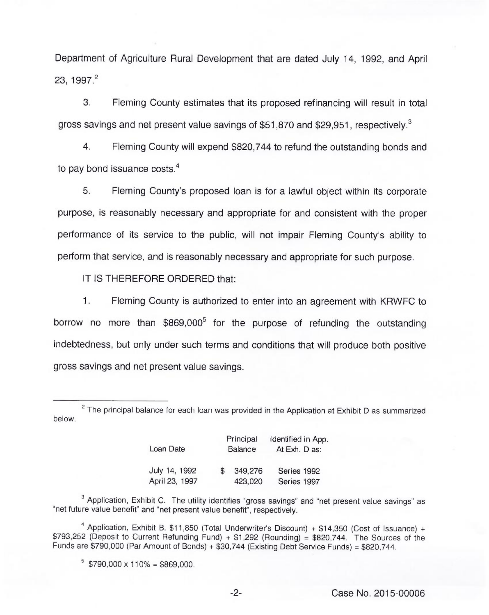Department of Agriculture Rural Development that are dated July 14, 1992, and April 23, 1997.

3. Fleming County estimates that its proposed refinancing will result in total gross savings and net present value savings of \$51,870 and \$29,951, respectively.<sup>3</sup>

Fleming County will expend \$820,744 to refund the outstanding bonds and  $\overline{4}$ . to pay bond issuance costs. $<sup>4</sup>$ </sup>

5. Fleming County's proposed loan is for a lawful object within its corporate purpose, is reasonably necessary and appropriate for and consistent with the proper performance of its service to the public, will not impair Fleming County's ability to perform that service, and is reasonably necessary and appropriate for such purpose.

IT IS THEREFORE ORDERED that:

 $1.$ Fleming County is authorized to enter into an agreement with KRWFC to borrow no more than \$869,000<sup>5</sup> for the purpose of refunding the outstanding indebtedness, but only under such terms and conditions that will produce both positive gross savings and net present value savings.

below.  $2$  The principal balance for each loan was provided in the Application at Exhibit D as summarized

| Loan Date      | Principal<br><b>Balance</b> |         | Identified in App.<br>At Exh. D as: |
|----------------|-----------------------------|---------|-------------------------------------|
| July 14, 1992  |                             | 349,276 | Series 1992                         |
| April 23, 1997 |                             | 423,020 | Series 1997                         |

 $3$  Application, Exhibit C. The utility identifies "gross savings" and "net present value savings" as "net future value benefit" and "net present value benefit", respectively.

<sup>4</sup> Application, Exhibit B. \$11,850 (Total Underwriter's Discount) + \$14,350 (Cost of Issuance) + \$793,252 (Deposit to Current Refunding Fund) + \$1,292 (Rounding) <sup>=</sup> \$820,744. The Sources of the Funds are \$790,000 (Par Amount of Bonds) <sup>+</sup> \$30,744 (Existing Debt Service Funds) <sup>=</sup> \$820,744.

 $5$  \$790,000 x 110% = \$869,000.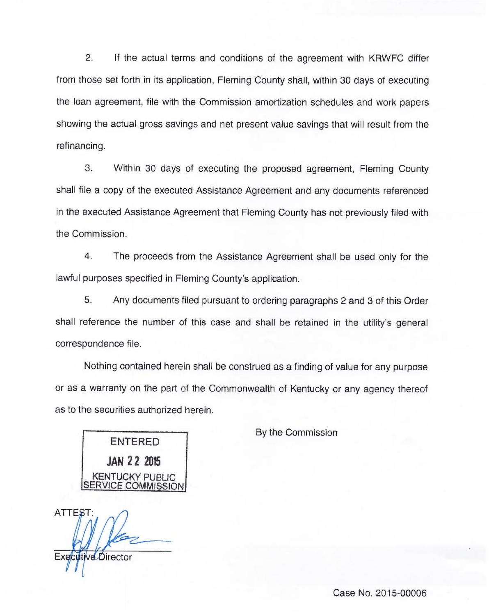2. If the actual terms and conditions of the agreement with KRWFC differ from those set forth in its application, Fleming County shall, within 30 days of executing the loan agreement, file with the Commission amortization schedules and work papers showing the actual gross savings and net present value savings that will result from the refinancing.

3. Within 30 days of executing the proposed agreement, Fleming County shall file a copy of the executed Assistance Agreement and any documents referenced in the executed Assistance Agreement that Fleming County has not previously filed with the Commission.

4. The proceeds from the Assistance Agreement shall be used only for the lawful purposes specified in Fleming County's application.

5. Any documents filed pursuant to ordering paragraphs 2 and 3 of this Order shall reference the number of this case and shall be retained in the utility's general correspondence file.

Nothing contained herein shall be construed as a finding of value for any purpose or as a warranty on the part of the Commonwealth of Kentucky or any agency thereof as to the securities authorized herein.

By the Commission

ENTERED JAN 22 20)5 KENTUCKY PUBLIC COMMISSION

**ATTEST:** Executive Director

Case No. 2015-00006